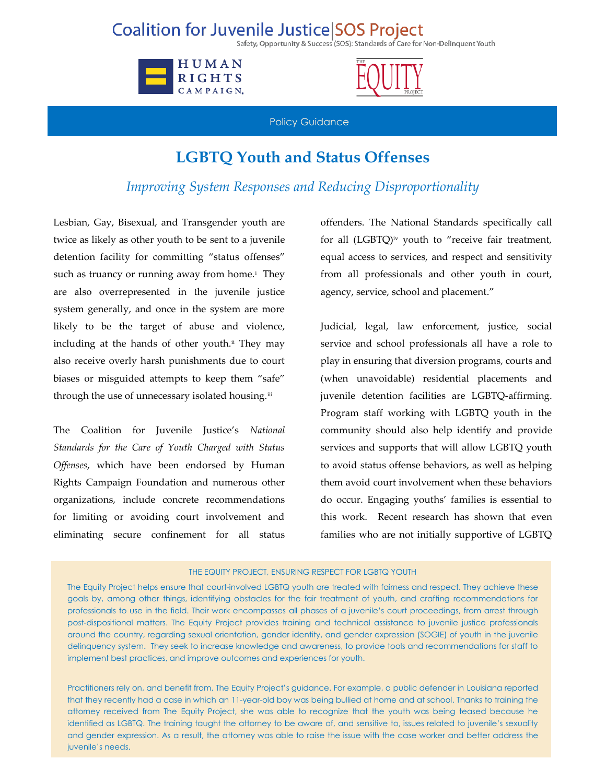## **Coalition for Juvenile Justice SOS Project**

Safety, Opportunity & Success (SOS): Standards of Care for Non-Delinquent Youth





Policy Guidance

## **LGBTQ Youth and Status Offenses**

## *Improving System Responses and Reducing Disproportionality*

Lesbian, Gay, Bisexual, and Transgender youth are twice as likely as other youth to be sent to a juvenile detention facility for committing "status offenses" such as truancy or running away from home.<sup>i</sup> They are also overrepresented in the juvenile justice system generally, and once in the system are more likely to be the target of abuse and violence, including at the hands of other youth. ii They may also receive overly harsh punishments due to court biases or misguided attempts to keep them "safe" through the use of unnecessary isolated housing.<sup>iii</sup>

The Coalition for Juvenile Justice's *National Standards for the Care of Youth Charged with Status Offenses*, which have been endorsed by Human Rights Campaign Foundation and numerous other organizations, include concrete recommendations for limiting or avoiding court involvement and eliminating secure confinement for all status

offenders. The National Standards specifically call for all (LGBTQ) iv youth to "receive fair treatment, equal access to services, and respect and sensitivity from all professionals and other youth in court, agency, service, school and placement."

Judicial, legal, law enforcement, justice, social service and school professionals all have a role to play in ensuring that diversion programs, courts and (when unavoidable) residential placements and juvenile detention facilities are LGBTQ-affirming. Program staff working with LGBTQ youth in the community should also help identify and provide services and supports that will allow LGBTQ youth to avoid status offense behaviors, as well as helping them avoid court involvement when these behaviors do occur. Engaging youths' families is essential to this work. Recent research has shown that even families who are not initially supportive of LGBTQ

## THE EQUITY PROJECT, ENSURING RESPECT FOR LGBTQ YOUTH

The Equity Project helps ensure that court-involved LGBTQ youth are treated with fairness and respect. They achieve these goals by, among other things, identifying obstacles for the fair treatment of youth, and crafting recommendations for professionals to use in the field. Their work encompasses all phases of a juvenile's court proceedings, from arrest through post-dispositional matters. The Equity Project provides training and technical assistance to juvenile justice professionals around the country, regarding sexual orientation, gender identity, and gender expression (SOGIE) of youth in the juvenile delinquency system. They seek to increase knowledge and awareness, to provide tools and recommendations for staff to implement best practices, and improve outcomes and experiences for youth.

Practitioners rely on, and benefit from, The Equity Project's guidance. For example, a public defender in Louisiana reported that they recently had a case in which an 11-year-old boy was being bullied at home and at school. Thanks to training the attorney received from The Equity Project, she was able to recognize that the youth was being teased because he identified as LGBTQ. The training taught the attorney to be aware of, and sensitive to, issues related to juvenile's sexuality and gender expression. As a result, the attorney was able to raise the issue with the case worker and better address the juvenile's needs.